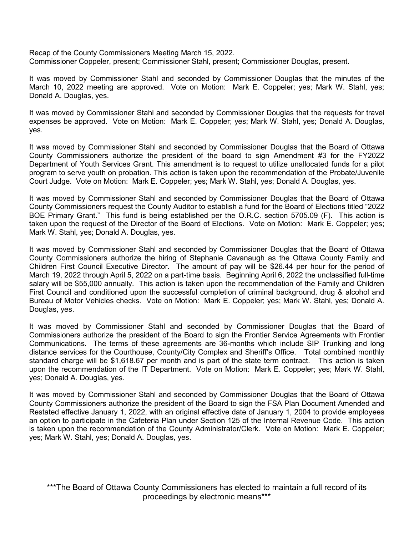Recap of the County Commissioners Meeting March 15, 2022. Commissioner Coppeler, present; Commissioner Stahl, present; Commissioner Douglas, present.

It was moved by Commissioner Stahl and seconded by Commissioner Douglas that the minutes of the March 10, 2022 meeting are approved. Vote on Motion: Mark E. Coppeler; yes; Mark W. Stahl, yes; Donald A. Douglas, yes.

It was moved by Commissioner Stahl and seconded by Commissioner Douglas that the requests for travel expenses be approved. Vote on Motion: Mark E. Coppeler; yes; Mark W. Stahl, yes; Donald A. Douglas, yes.

It was moved by Commissioner Stahl and seconded by Commissioner Douglas that the Board of Ottawa County Commissioners authorize the president of the board to sign Amendment #3 for the FY2022 Department of Youth Services Grant. This amendment is to request to utilize unallocated funds for a pilot program to serve youth on probation. This action is taken upon the recommendation of the Probate/Juvenile Court Judge. Vote on Motion: Mark E. Coppeler; yes; Mark W. Stahl, yes; Donald A. Douglas, yes.

It was moved by Commissioner Stahl and seconded by Commissioner Douglas that the Board of Ottawa County Commissioners request the County Auditor to establish a fund for the Board of Elections titled "2022 BOE Primary Grant." This fund is being established per the O.R.C. section 5705.09 (F). This action is taken upon the request of the Director of the Board of Elections. Vote on Motion: Mark E. Coppeler; yes; Mark W. Stahl, yes; Donald A. Douglas, yes.

It was moved by Commissioner Stahl and seconded by Commissioner Douglas that the Board of Ottawa County Commissioners authorize the hiring of Stephanie Cavanaugh as the Ottawa County Family and Children First Council Executive Director. The amount of pay will be \$26.44 per hour for the period of March 19, 2022 through April 5, 2022 on a part-time basis. Beginning April 6, 2022 the unclassified full-time salary will be \$55,000 annually. This action is taken upon the recommendation of the Family and Children First Council and conditioned upon the successful completion of criminal background, drug & alcohol and Bureau of Motor Vehicles checks. Vote on Motion: Mark E. Coppeler; yes; Mark W. Stahl, yes; Donald A. Douglas, yes.

It was moved by Commissioner Stahl and seconded by Commissioner Douglas that the Board of Commissioners authorize the president of the Board to sign the Frontier Service Agreements with Frontier Communications. The terms of these agreements are 36-months which include SIP Trunking and long distance services for the Courthouse, County/City Complex and Sheriff's Office. Total combined monthly standard charge will be \$1,618.67 per month and is part of the state term contract. This action is taken upon the recommendation of the IT Department. Vote on Motion: Mark E. Coppeler; yes; Mark W. Stahl, yes; Donald A. Douglas, yes.

It was moved by Commissioner Stahl and seconded by Commissioner Douglas that the Board of Ottawa County Commissioners authorize the president of the Board to sign the FSA Plan Document Amended and Restated effective January 1, 2022, with an original effective date of January 1, 2004 to provide employees an option to participate in the Cafeteria Plan under Section 125 of the Internal Revenue Code. This action is taken upon the recommendation of the County Administrator/Clerk. Vote on Motion: Mark E. Coppeler; yes; Mark W. Stahl, yes; Donald A. Douglas, yes.